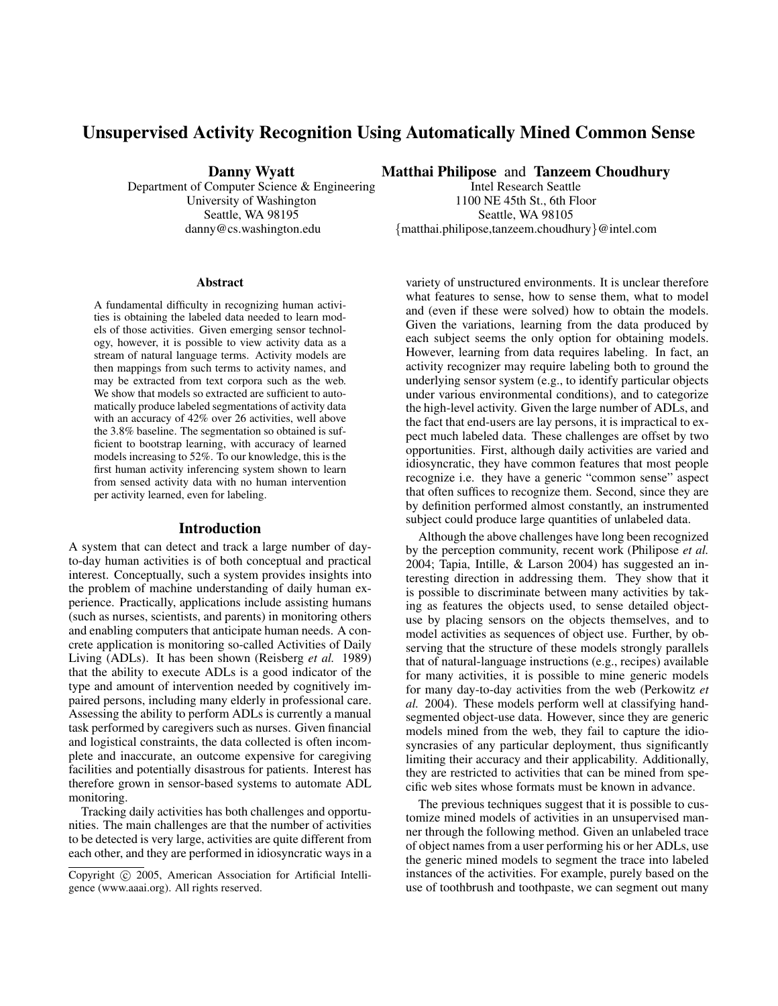# Unsupervised Activity Recognition Using Automatically Mined Common Sense

Danny Wyatt

Department of Computer Science & Engineering University of Washington Seattle, WA 98195 danny@cs.washington.edu

#### Abstract

A fundamental difficulty in recognizing human activities is obtaining the labeled data needed to learn models of those activities. Given emerging sensor technology, however, it is possible to view activity data as a stream of natural language terms. Activity models are then mappings from such terms to activity names, and may be extracted from text corpora such as the web. We show that models so extracted are sufficient to automatically produce labeled segmentations of activity data with an accuracy of 42% over 26 activities, well above the 3.8% baseline. The segmentation so obtained is sufficient to bootstrap learning, with accuracy of learned models increasing to 52%. To our knowledge, this is the first human activity inferencing system shown to learn from sensed activity data with no human intervention per activity learned, even for labeling.

#### Introduction

A system that can detect and track a large number of dayto-day human activities is of both conceptual and practical interest. Conceptually, such a system provides insights into the problem of machine understanding of daily human experience. Practically, applications include assisting humans (such as nurses, scientists, and parents) in monitoring others and enabling computers that anticipate human needs. A concrete application is monitoring so-called Activities of Daily Living (ADLs). It has been shown (Reisberg *et al.* 1989) that the ability to execute ADLs is a good indicator of the type and amount of intervention needed by cognitively impaired persons, including many elderly in professional care. Assessing the ability to perform ADLs is currently a manual task performed by caregivers such as nurses. Given financial and logistical constraints, the data collected is often incomplete and inaccurate, an outcome expensive for caregiving facilities and potentially disastrous for patients. Interest has therefore grown in sensor-based systems to automate ADL monitoring.

Tracking daily activities has both challenges and opportunities. The main challenges are that the number of activities to be detected is very large, activities are quite different from each other, and they are performed in idiosyncratic ways in a

Matthai Philipose and Tanzeem Choudhury

Intel Research Seattle 1100 NE 45th St., 6th Floor Seattle, WA 98105 {matthai.philipose,tanzeem.choudhury}@intel.com

variety of unstructured environments. It is unclear therefore what features to sense, how to sense them, what to model and (even if these were solved) how to obtain the models. Given the variations, learning from the data produced by each subject seems the only option for obtaining models. However, learning from data requires labeling. In fact, an activity recognizer may require labeling both to ground the underlying sensor system (e.g., to identify particular objects under various environmental conditions), and to categorize the high-level activity. Given the large number of ADLs, and the fact that end-users are lay persons, it is impractical to expect much labeled data. These challenges are offset by two opportunities. First, although daily activities are varied and idiosyncratic, they have common features that most people recognize i.e. they have a generic "common sense" aspect that often suffices to recognize them. Second, since they are by definition performed almost constantly, an instrumented subject could produce large quantities of unlabeled data.

Although the above challenges have long been recognized by the perception community, recent work (Philipose *et al.* 2004; Tapia, Intille, & Larson 2004) has suggested an interesting direction in addressing them. They show that it is possible to discriminate between many activities by taking as features the objects used, to sense detailed objectuse by placing sensors on the objects themselves, and to model activities as sequences of object use. Further, by observing that the structure of these models strongly parallels that of natural-language instructions (e.g., recipes) available for many activities, it is possible to mine generic models for many day-to-day activities from the web (Perkowitz *et al.* 2004). These models perform well at classifying handsegmented object-use data. However, since they are generic models mined from the web, they fail to capture the idiosyncrasies of any particular deployment, thus significantly limiting their accuracy and their applicability. Additionally, they are restricted to activities that can be mined from specific web sites whose formats must be known in advance.

The previous techniques suggest that it is possible to customize mined models of activities in an unsupervised manner through the following method. Given an unlabeled trace of object names from a user performing his or her ADLs, use the generic mined models to segment the trace into labeled instances of the activities. For example, purely based on the use of toothbrush and toothpaste, we can segment out many

Copyright © 2005, American Association for Artificial Intelligence (www.aaai.org). All rights reserved.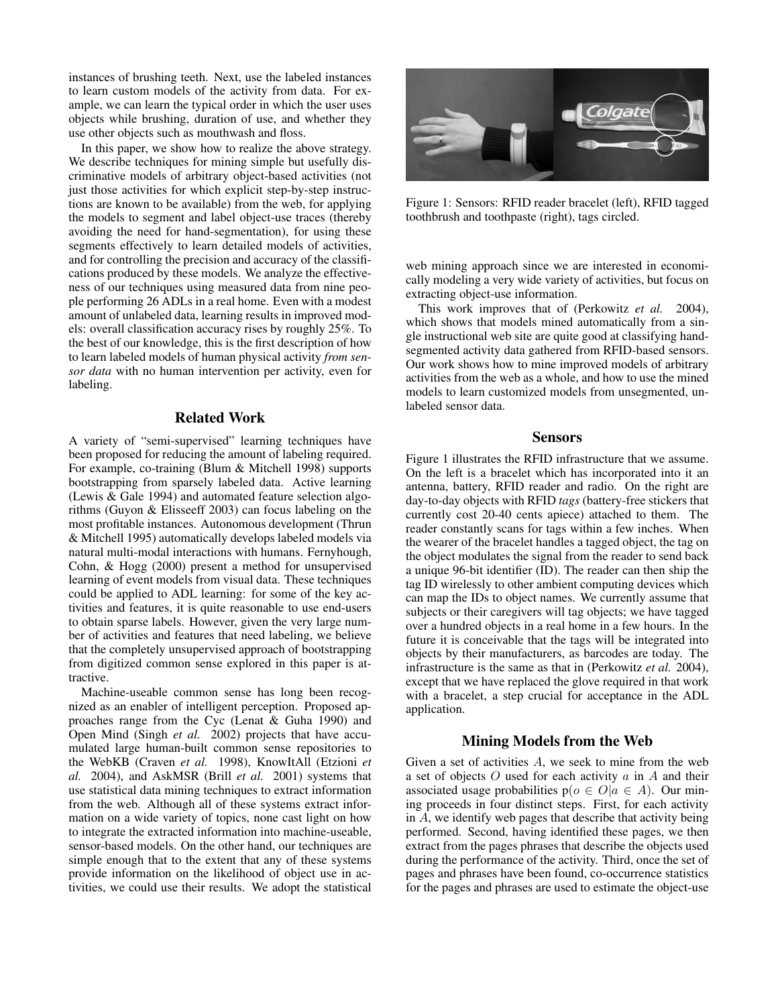instances of brushing teeth. Next, use the labeled instances to learn custom models of the activity from data. For example, we can learn the typical order in which the user uses objects while brushing, duration of use, and whether they use other objects such as mouthwash and floss.

In this paper, we show how to realize the above strategy. We describe techniques for mining simple but usefully discriminative models of arbitrary object-based activities (not just those activities for which explicit step-by-step instructions are known to be available) from the web, for applying the models to segment and label object-use traces (thereby avoiding the need for hand-segmentation), for using these segments effectively to learn detailed models of activities, and for controlling the precision and accuracy of the classifications produced by these models. We analyze the effectiveness of our techniques using measured data from nine people performing 26 ADLs in a real home. Even with a modest amount of unlabeled data, learning results in improved models: overall classification accuracy rises by roughly 25%. To the best of our knowledge, this is the first description of how to learn labeled models of human physical activity *from sensor data* with no human intervention per activity, even for labeling.

## Related Work

A variety of "semi-supervised" learning techniques have been proposed for reducing the amount of labeling required. For example, co-training (Blum & Mitchell 1998) supports bootstrapping from sparsely labeled data. Active learning (Lewis & Gale 1994) and automated feature selection algorithms (Guyon & Elisseeff 2003) can focus labeling on the most profitable instances. Autonomous development (Thrun & Mitchell 1995) automatically develops labeled models via natural multi-modal interactions with humans. Fernyhough, Cohn, & Hogg (2000) present a method for unsupervised learning of event models from visual data. These techniques could be applied to ADL learning: for some of the key activities and features, it is quite reasonable to use end-users to obtain sparse labels. However, given the very large number of activities and features that need labeling, we believe that the completely unsupervised approach of bootstrapping from digitized common sense explored in this paper is attractive.

Machine-useable common sense has long been recognized as an enabler of intelligent perception. Proposed approaches range from the Cyc (Lenat & Guha 1990) and Open Mind (Singh *et al.* 2002) projects that have accumulated large human-built common sense repositories to the WebKB (Craven *et al.* 1998), KnowItAll (Etzioni *et al.* 2004), and AskMSR (Brill *et al.* 2001) systems that use statistical data mining techniques to extract information from the web. Although all of these systems extract information on a wide variety of topics, none cast light on how to integrate the extracted information into machine-useable, sensor-based models. On the other hand, our techniques are simple enough that to the extent that any of these systems provide information on the likelihood of object use in activities, we could use their results. We adopt the statistical



Figure 1: Sensors: RFID reader bracelet (left), RFID tagged toothbrush and toothpaste (right), tags circled.

web mining approach since we are interested in economically modeling a very wide variety of activities, but focus on extracting object-use information.

This work improves that of (Perkowitz *et al.* 2004), which shows that models mined automatically from a single instructional web site are quite good at classifying handsegmented activity data gathered from RFID-based sensors. Our work shows how to mine improved models of arbitrary activities from the web as a whole, and how to use the mined models to learn customized models from unsegmented, unlabeled sensor data.

#### Sensors

Figure 1 illustrates the RFID infrastructure that we assume. On the left is a bracelet which has incorporated into it an antenna, battery, RFID reader and radio. On the right are day-to-day objects with RFID *tags* (battery-free stickers that currently cost 20-40 cents apiece) attached to them. The reader constantly scans for tags within a few inches. When the wearer of the bracelet handles a tagged object, the tag on the object modulates the signal from the reader to send back a unique 96-bit identifier (ID). The reader can then ship the tag ID wirelessly to other ambient computing devices which can map the IDs to object names. We currently assume that subjects or their caregivers will tag objects; we have tagged over a hundred objects in a real home in a few hours. In the future it is conceivable that the tags will be integrated into objects by their manufacturers, as barcodes are today. The infrastructure is the same as that in (Perkowitz *et al.* 2004), except that we have replaced the glove required in that work with a bracelet, a step crucial for acceptance in the ADL application.

#### Mining Models from the Web

Given a set of activities  $A$ , we seek to mine from the web a set of objects  $O$  used for each activity  $a$  in  $A$  and their associated usage probabilities  $p(o \in O | a \in A)$ . Our mining proceeds in four distinct steps. First, for each activity in A, we identify web pages that describe that activity being performed. Second, having identified these pages, we then extract from the pages phrases that describe the objects used during the performance of the activity. Third, once the set of pages and phrases have been found, co-occurrence statistics for the pages and phrases are used to estimate the object-use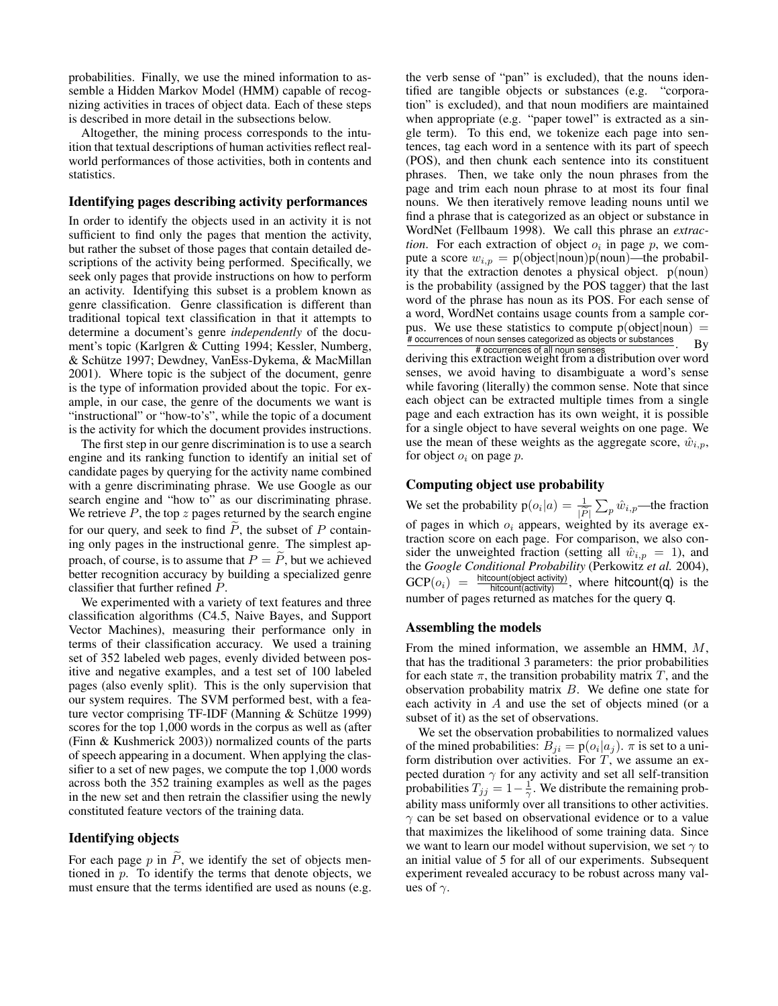probabilities. Finally, we use the mined information to assemble a Hidden Markov Model (HMM) capable of recognizing activities in traces of object data. Each of these steps is described in more detail in the subsections below.

Altogether, the mining process corresponds to the intuition that textual descriptions of human activities reflect realworld performances of those activities, both in contents and statistics.

### Identifying pages describing activity performances

In order to identify the objects used in an activity it is not sufficient to find only the pages that mention the activity, but rather the subset of those pages that contain detailed descriptions of the activity being performed. Specifically, we seek only pages that provide instructions on how to perform an activity. Identifying this subset is a problem known as genre classification. Genre classification is different than traditional topical text classification in that it attempts to determine a document's genre *independently* of the document's topic (Karlgren & Cutting 1994; Kessler, Numberg, & Schutze 1997; Dewdney, VanEss-Dykema, & MacMillan ¨ 2001). Where topic is the subject of the document, genre is the type of information provided about the topic. For example, in our case, the genre of the documents we want is "instructional" or "how-to's", while the topic of a document is the activity for which the document provides instructions.

The first step in our genre discrimination is to use a search engine and its ranking function to identify an initial set of candidate pages by querying for the activity name combined with a genre discriminating phrase. We use Google as our search engine and "how to" as our discriminating phrase. We retrieve  $P$ , the top  $z$  pages returned by the search engine for our query, and seek to find  $\tilde{P}$ , the subset of  $P$  containing only pages in the instructional genre. The simplest approach, of course, is to assume that  $P = \tilde{P}$ , but we achieved better recognition accuracy by building a specialized genre classifier that further refined P.

We experimented with a variety of text features and three classification algorithms (C4.5, Naive Bayes, and Support Vector Machines), measuring their performance only in terms of their classification accuracy. We used a training set of 352 labeled web pages, evenly divided between positive and negative examples, and a test set of 100 labeled pages (also evenly split). This is the only supervision that our system requires. The SVM performed best, with a feature vector comprising TF-IDF (Manning  $&$  Schütze 1999) scores for the top 1,000 words in the corpus as well as (after (Finn & Kushmerick 2003)) normalized counts of the parts of speech appearing in a document. When applying the classifier to a set of new pages, we compute the top 1,000 words across both the 352 training examples as well as the pages in the new set and then retrain the classifier using the newly constituted feature vectors of the training data.

## Identifying objects

For each page  $p$  in  $\overline{P}$ , we identify the set of objects mentioned in p. To identify the terms that denote objects, we must ensure that the terms identified are used as nouns (e.g.

the verb sense of "pan" is excluded), that the nouns identified are tangible objects or substances (e.g. "corporation" is excluded), and that noun modifiers are maintained when appropriate (e.g. "paper towel" is extracted as a single term). To this end, we tokenize each page into sentences, tag each word in a sentence with its part of speech (POS), and then chunk each sentence into its constituent phrases. Then, we take only the noun phrases from the page and trim each noun phrase to at most its four final nouns. We then iteratively remove leading nouns until we find a phrase that is categorized as an object or substance in WordNet (Fellbaum 1998). We call this phrase an *extraction*. For each extraction of object  $o_i$  in page  $p$ , we compute a score  $w_{i,p} = p(\text{object}|\text{noun})p(\text{noun})$ —the probability that the extraction denotes a physical object. p(noun) is the probability (assigned by the POS tagger) that the last word of the phrase has noun as its POS. For each sense of a word, WordNet contains usage counts from a sample corpus. We use these statistics to compute  $p(\text{object}|\text{noun})$  = # occurrences of noun senses categorized as objects or substances  $\frac{1}{4}$  occurrences of all noun senses  $\frac{1}{4}$  occurrences of all noun senses  $\frac{1}{4}$ deriving this extraction weight from a distribution over word senses, we avoid having to disambiguate a word's sense while favoring (literally) the common sense. Note that since each object can be extracted multiple times from a single page and each extraction has its own weight, it is possible for a single object to have several weights on one page. We use the mean of these weights as the aggregate score,  $\hat{w}_{i,p}$ , for object  $o_i$  on page p.

### Computing object use probability

We set the probability  $p(o_i|a) = \frac{1}{|\tilde{p}|} \sum_p \hat{w}_{i,p}$ —the fraction of pages in which  $o_i$  appears, weighted by its average extraction score on each page. For comparison, we also consider the unweighted fraction (setting all  $\hat{w}_{i,p} = 1$ ), and the *Google Conditional Probability* (Perkowitz *et al.* 2004),  $\text{GCP}(o_i) = \frac{\text{hitcount}(\text{object activity})}{\text{hitcount}(\text{activity})}$ , where hitcount(q) is the number of pages returned as matches for the query q.

### Assembling the models

From the mined information, we assemble an HMM, M, that has the traditional 3 parameters: the prior probabilities for each state  $\pi$ , the transition probability matrix T, and the observation probability matrix B. We define one state for each activity in A and use the set of objects mined (or a subset of it) as the set of observations.

We set the observation probabilities to normalized values of the mined probabilities:  $B_{ji} = p(o_i|a_j)$ .  $\pi$  is set to a uniform distribution over activities. For  $T$ , we assume an expected duration  $\gamma$  for any activity and set all self-transition probabilities  $T_{jj} = 1 - \frac{1}{\gamma}$ . We distribute the remaining probability mass uniformly over all transitions to other activities.  $\gamma$  can be set based on observational evidence or to a value that maximizes the likelihood of some training data. Since we want to learn our model without supervision, we set  $\gamma$  to an initial value of 5 for all of our experiments. Subsequent experiment revealed accuracy to be robust across many values of  $\gamma$ .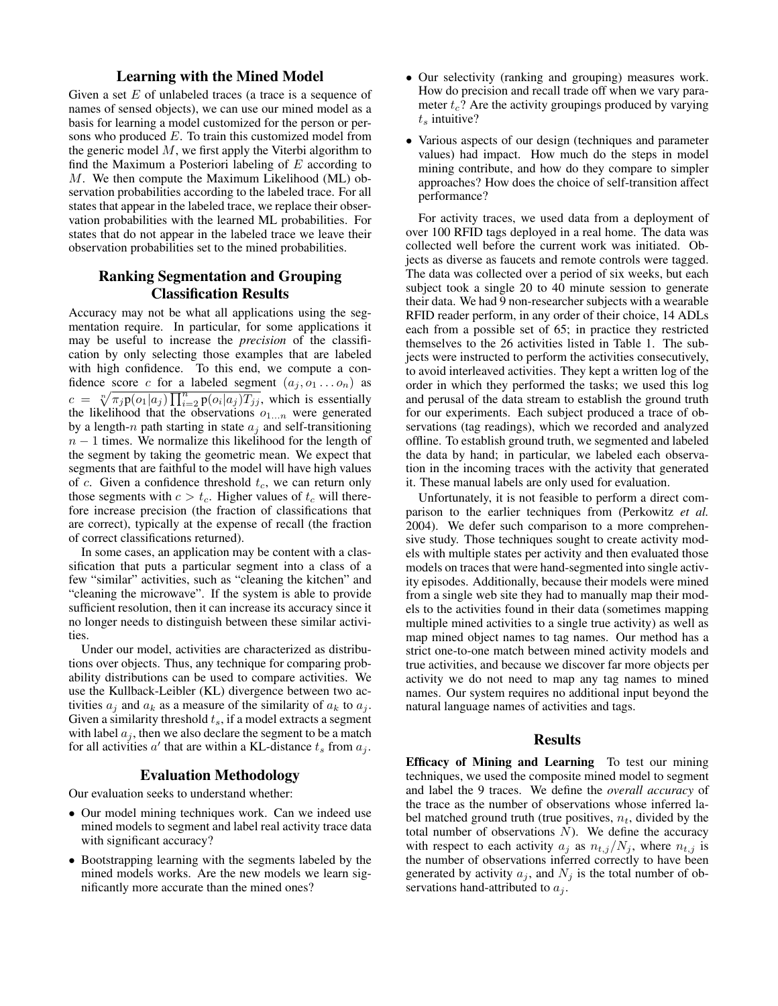# Learning with the Mined Model

Given a set  $E$  of unlabeled traces (a trace is a sequence of names of sensed objects), we can use our mined model as a basis for learning a model customized for the person or persons who produced E. To train this customized model from the generic model  $M$ , we first apply the Viterbi algorithm to find the Maximum a Posteriori labeling of  $E$  according to M. We then compute the Maximum Likelihood (ML) observation probabilities according to the labeled trace. For all states that appear in the labeled trace, we replace their observation probabilities with the learned ML probabilities. For states that do not appear in the labeled trace we leave their observation probabilities set to the mined probabilities.

# Ranking Segmentation and Grouping Classification Results

Accuracy may not be what all applications using the segmentation require. In particular, for some applications it may be useful to increase the *precision* of the classification by only selecting those examples that are labeled with high confidence. To this end, we compute a confidence score c for a labeled segment  $(a_j, o_1 \dots o_n)$  as  $c =$  $\sqrt[n]{\pi_j p(o_1|a_j) \prod_{i=2}^n p(o_i|a_j) T_{jj}}$ , which is essentially the likelihood that the observations  $o_{1...n}$  were generated by a length-n path starting in state  $a_i$  and self-transitioning  $n - 1$  times. We normalize this likelihood for the length of the segment by taking the geometric mean. We expect that segments that are faithful to the model will have high values of c. Given a confidence threshold  $t_c$ , we can return only those segments with  $c > t_c$ . Higher values of  $t_c$  will therefore increase precision (the fraction of classifications that are correct), typically at the expense of recall (the fraction of correct classifications returned).

In some cases, an application may be content with a classification that puts a particular segment into a class of a few "similar" activities, such as "cleaning the kitchen" and "cleaning the microwave". If the system is able to provide sufficient resolution, then it can increase its accuracy since it no longer needs to distinguish between these similar activities.

Under our model, activities are characterized as distributions over objects. Thus, any technique for comparing probability distributions can be used to compare activities. We use the Kullback-Leibler (KL) divergence between two activities  $a_i$  and  $a_k$  as a measure of the similarity of  $a_k$  to  $a_j$ . Given a similarity threshold  $t_s$ , if a model extracts a segment with label  $a_i$ , then we also declare the segment to be a match for all activities  $a'$  that are within a KL-distance  $t_s$  from  $a_j$ .

# Evaluation Methodology

Our evaluation seeks to understand whether:

- Our model mining techniques work. Can we indeed use mined models to segment and label real activity trace data with significant accuracy?
- Bootstrapping learning with the segments labeled by the mined models works. Are the new models we learn significantly more accurate than the mined ones?
- Our selectivity (ranking and grouping) measures work. How do precision and recall trade off when we vary parameter  $t_c$ ? Are the activity groupings produced by varying  $t_s$  intuitive?
- Various aspects of our design (techniques and parameter values) had impact. How much do the steps in model mining contribute, and how do they compare to simpler approaches? How does the choice of self-transition affect performance?

For activity traces, we used data from a deployment of over 100 RFID tags deployed in a real home. The data was collected well before the current work was initiated. Objects as diverse as faucets and remote controls were tagged. The data was collected over a period of six weeks, but each subject took a single 20 to 40 minute session to generate their data. We had 9 non-researcher subjects with a wearable RFID reader perform, in any order of their choice, 14 ADLs each from a possible set of 65; in practice they restricted themselves to the 26 activities listed in Table 1. The subjects were instructed to perform the activities consecutively, to avoid interleaved activities. They kept a written log of the order in which they performed the tasks; we used this log and perusal of the data stream to establish the ground truth for our experiments. Each subject produced a trace of observations (tag readings), which we recorded and analyzed offline. To establish ground truth, we segmented and labeled the data by hand; in particular, we labeled each observation in the incoming traces with the activity that generated it. These manual labels are only used for evaluation.

Unfortunately, it is not feasible to perform a direct comparison to the earlier techniques from (Perkowitz *et al.* 2004). We defer such comparison to a more comprehensive study. Those techniques sought to create activity models with multiple states per activity and then evaluated those models on traces that were hand-segmented into single activity episodes. Additionally, because their models were mined from a single web site they had to manually map their models to the activities found in their data (sometimes mapping multiple mined activities to a single true activity) as well as map mined object names to tag names. Our method has a strict one-to-one match between mined activity models and true activities, and because we discover far more objects per activity we do not need to map any tag names to mined names. Our system requires no additional input beyond the natural language names of activities and tags.

#### **Results**

Efficacy of Mining and Learning To test our mining techniques, we used the composite mined model to segment and label the 9 traces. We define the *overall accuracy* of the trace as the number of observations whose inferred label matched ground truth (true positives,  $n_t$ , divided by the total number of observations  $N$ ). We define the accuracy with respect to each activity  $a_j$  as  $n_{t,j}/N_j$ , where  $n_{t,j}$  is the number of observations inferred correctly to have been generated by activity  $a_j$ , and  $N_j$  is the total number of observations hand-attributed to  $a_i$ .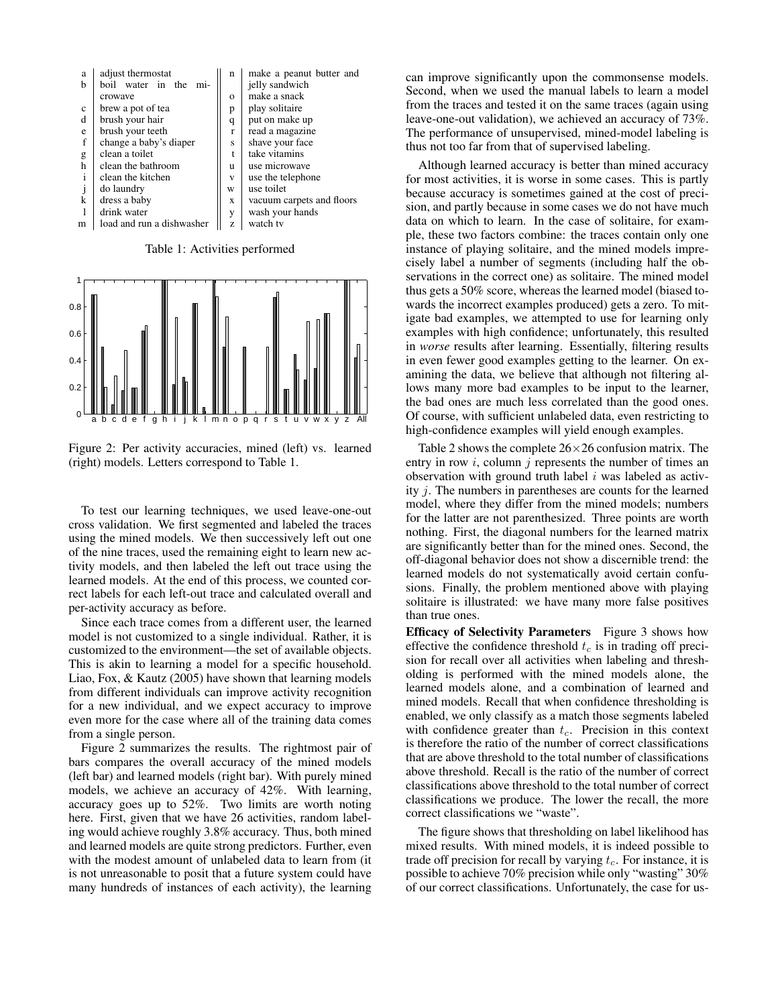

Table 1: Activities performed



Figure 2: Per activity accuracies, mined (left) vs. learned (right) models. Letters correspond to Table 1.

To test our learning techniques, we used leave-one-out cross validation. We first segmented and labeled the traces using the mined models. We then successively left out one of the nine traces, used the remaining eight to learn new activity models, and then labeled the left out trace using the learned models. At the end of this process, we counted correct labels for each left-out trace and calculated overall and per-activity accuracy as before.

Since each trace comes from a different user, the learned model is not customized to a single individual. Rather, it is customized to the environment—the set of available objects. This is akin to learning a model for a specific household. Liao, Fox, & Kautz (2005) have shown that learning models from different individuals can improve activity recognition for a new individual, and we expect accuracy to improve even more for the case where all of the training data comes from a single person.

Figure 2 summarizes the results. The rightmost pair of bars compares the overall accuracy of the mined models (left bar) and learned models (right bar). With purely mined models, we achieve an accuracy of 42%. With learning, accuracy goes up to 52%. Two limits are worth noting here. First, given that we have 26 activities, random labeling would achieve roughly 3.8% accuracy. Thus, both mined and learned models are quite strong predictors. Further, even with the modest amount of unlabeled data to learn from (it is not unreasonable to posit that a future system could have many hundreds of instances of each activity), the learning

can improve significantly upon the commonsense models. Second, when we used the manual labels to learn a model from the traces and tested it on the same traces (again using leave-one-out validation), we achieved an accuracy of 73%. The performance of unsupervised, mined-model labeling is thus not too far from that of supervised labeling.

Although learned accuracy is better than mined accuracy for most activities, it is worse in some cases. This is partly because accuracy is sometimes gained at the cost of precision, and partly because in some cases we do not have much data on which to learn. In the case of solitaire, for example, these two factors combine: the traces contain only one instance of playing solitaire, and the mined models imprecisely label a number of segments (including half the observations in the correct one) as solitaire. The mined model thus gets a 50% score, whereas the learned model (biased towards the incorrect examples produced) gets a zero. To mitigate bad examples, we attempted to use for learning only examples with high confidence; unfortunately, this resulted in *worse* results after learning. Essentially, filtering results in even fewer good examples getting to the learner. On examining the data, we believe that although not filtering allows many more bad examples to be input to the learner, the bad ones are much less correlated than the good ones. Of course, with sufficient unlabeled data, even restricting to high-confidence examples will yield enough examples.

Table 2 shows the complete  $26\times26$  confusion matrix. The entry in row  $i$ , column  $j$  represents the number of times an observation with ground truth label  $i$  was labeled as activity j. The numbers in parentheses are counts for the learned model, where they differ from the mined models; numbers for the latter are not parenthesized. Three points are worth nothing. First, the diagonal numbers for the learned matrix are significantly better than for the mined ones. Second, the off-diagonal behavior does not show a discernible trend: the learned models do not systematically avoid certain confusions. Finally, the problem mentioned above with playing solitaire is illustrated: we have many more false positives than true ones.

Efficacy of Selectivity Parameters Figure 3 shows how effective the confidence threshold  $t_c$  is in trading off precision for recall over all activities when labeling and thresholding is performed with the mined models alone, the learned models alone, and a combination of learned and mined models. Recall that when confidence thresholding is enabled, we only classify as a match those segments labeled with confidence greater than  $t_c$ . Precision in this context is therefore the ratio of the number of correct classifications that are above threshold to the total number of classifications above threshold. Recall is the ratio of the number of correct classifications above threshold to the total number of correct classifications we produce. The lower the recall, the more correct classifications we "waste".

The figure shows that thresholding on label likelihood has mixed results. With mined models, it is indeed possible to trade off precision for recall by varying  $t_c$ . For instance, it is possible to achieve 70% precision while only "wasting" 30% of our correct classifications. Unfortunately, the case for us-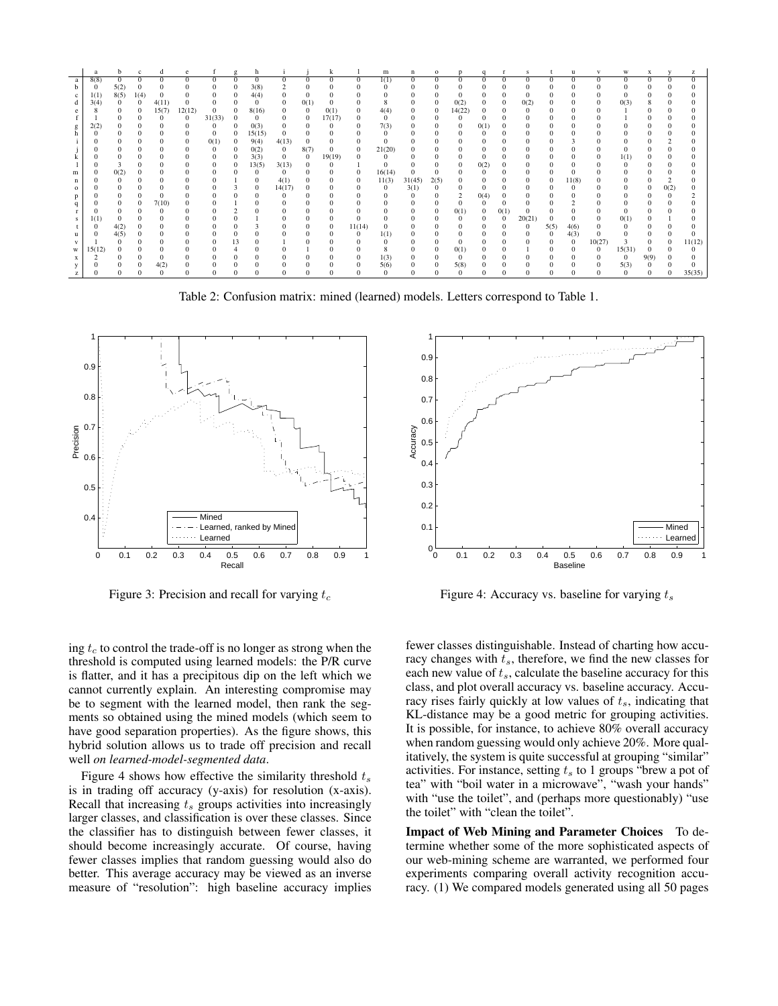|   | a        | b            | $\mathbf{c}$ | d            | e      |            | g        | h          |              |              | k            |          | m            | n            | $\mathbf{o}$ | p            | $\mathbf{q}$ | r            | s            |          | u              | $\mathbf{V}$ | W            | X            | $\mathbf{v}$ | z        |
|---|----------|--------------|--------------|--------------|--------|------------|----------|------------|--------------|--------------|--------------|----------|--------------|--------------|--------------|--------------|--------------|--------------|--------------|----------|----------------|--------------|--------------|--------------|--------------|----------|
| a | 8(8)     | $\mathbf{0}$ | $\mathbf{0}$ | 0            | 0      | 0          | $\Omega$ | 0          | $\Omega$     | 0            | $^{\circ}$   | 0        | 1(1)         | $\mathbf{0}$ | $\mathbf{0}$ | 0            | $\Omega$     | $\mathbf{0}$ | 0            | $\Omega$ | $\mathbf{0}$   | $\mathbf{0}$ | $\mathbf{0}$ | $^{\circ}$   | $\Omega$     | 0        |
|   | $\theta$ | 5(2)         | $\mathbf{0}$ |              |        | 0          | $\Omega$ | 3(8)       |              | 0            |              |          | 0            |              |              | 0            |              | $\Omega$     |              |          |                | 0            |              | $^{0}$       |              |          |
| c | 1(1)     | 8(5)         | 1(4)         | $\Omega$     | 0      | 0          | $\Omega$ | 4(4)       | $\bf{0}$     | $\mathbf{0}$ | $\bf{0}$     | 0        | $\mathbf{0}$ | $\Omega$     | $\Omega$     | $\Omega$     | $\Omega$     | $\bf{0}$     | $\mathbf{0}$ | $\theta$ | $\bf{0}$       | $\mathbf{0}$ | $\Omega$     | $\mathbf{0}$ |              |          |
| d | 3(4)     | $\mathbf{0}$ | $\mathbf{0}$ | 4(11)        |        | 0          |          | 0          | $\mathbf{0}$ | 0(1)         | $\mathbf{0}$ |          | 8            |              | $\Omega$     | 0(2)         | $\mathbf{0}$ | $\mathbf{0}$ | 0(2)         |          | $\Omega$       | $\mathbf{0}$ | 0(3)         | 8            |              |          |
|   |          | $\Omega$     | $\mathbf{0}$ | 15(7)        | 12(12) | 0          | 0        | 8(16)      | $\Omega$     | 0            | 0(1)         | 0        | 4(4)         | 0            | $\bf{0}$     | 14(22)       | $\Omega$     | $\Omega$     | $\Omega$     |          |                | 0            |              | $\Omega$     |              |          |
|   |          |              | $\Omega$     |              | 0      | 31(33)     | $\Omega$ | 0          | $\mathbf{0}$ | 0            | 17(17)       | 0        | $\theta$     | $\Omega$     |              | $^{\circ}$   | $^{0}$       | $\Omega$     | $\mathbf{0}$ |          | $\Omega$       |              |              |              |              |          |
| g | 2(2)     |              | 0            |              |        | 0          | $\Omega$ | 0(3)       | $\mathbf{0}$ | 0            |              | 0        | 7(3)         | $\bf{0}$     | 0            | $\mathbf{0}$ | 0(1)         | $\bf{0}$     | $\mathbf{0}$ | $\Omega$ | $\Omega$       | 0            |              | $\bf{0}$     |              |          |
|   | $\Omega$ |              | $\Omega$     |              |        | $\Omega$   | $\theta$ | 15(15)     | $\Omega$     | 0            |              |          | 0            |              | $\Omega$     | $\Omega$     |              | $\Omega$     |              |          |                | $\Omega$     |              | $\Omega$     |              |          |
|   |          | $\bf{0}$     | $\Omega$     |              | 0      | 0(1)       | $\Omega$ | 9(4)       | 4(13)        | $\mathbf{0}$ | $\mathbf{0}$ | 0        | $\Omega$     |              |              | $\mathbf{0}$ | $\Omega$     | $\mathbf{0}$ |              |          |                | 0            |              | $^{0}$       |              |          |
|   |          |              | $\mathbf{0}$ |              |        | $^{\circ}$ | $^{0}$   | 0(2)       | $\mathbf{0}$ | 8(7)         | $\Omega$     | 0        | 21(20)       | 0            |              | $\Omega$     | $\Omega$     | $\Omega$     |              |          |                | 0            |              | $\Omega$     |              |          |
|   |          |              | $\Omega$     |              |        | 0          | $^{0}$   | 3(3)       | $\mathbf{0}$ | $\mathbf{0}$ | 19(19)       |          | 0            |              |              | $\Omega$     | $\Omega$     | $\Omega$     |              |          | $^{0}$         | 0            | 1(1)         | $\mathbf{0}$ |              |          |
|   |          |              | $\mathbf{0}$ |              |        | $\Omega$   | $\theta$ | 13(5)      | 3(13)        | $^{\circ}$   |              |          | $\Omega$     | $\Omega$     | $\Omega$     | $\mathbf{0}$ | 0(2)         | $\mathbf{0}$ | $\Omega$     | $\Omega$ | $^{\circ}$     | $\theta$     |              | $^{0}$       |              |          |
| m | $\Omega$ | 0(2)         | $\mathbf{0}$ |              |        | 0          |          | $^{\circ}$ | $\bf{0}$     |              |              | 0        | 16(14)       | $\mathbf{0}$ |              |              |              |              |              |          |                |              |              | $\Omega$     |              |          |
|   |          |              | $\Omega$     |              |        |            |          | $\Omega$   | 4(1)         |              | $^{0}$       | $^{(1)}$ | 11(3)        | 31(45)       | 2(5)         |              |              | $\Omega$     | $\bf{0}$     | $\theta$ | 11(8)          | 0            |              | $\Omega$     |              |          |
| o |          | $\Omega$     | $\mathbf{0}$ | $\Omega$     | 0      | 0          | з        | $^{\circ}$ | 14(17)       | 0            |              | 0        | $\mathbf{0}$ | 3(1)         | $\bf{0}$     | 0            | $\Omega$     | $\mathbf{0}$ | $\Omega$     | $\Omega$ | $\mathbf{0}$   | 0            | 0            | $\Omega$     | 0(2)         |          |
|   |          |              | $\Omega$     |              |        |            |          |            | $\Omega$     | 0            |              |          | $\Omega$     |              | $\Omega$     |              | 0(4)         | $\Omega$     |              |          |                | 0            |              | $\Omega$     |              |          |
|   |          | $\mathbf{0}$ | $\mathbf{0}$ | 7(10)        | 0      | 0          |          |            | $\bf{0}$     | 0            |              | 0        | $\Omega$     |              | $\Omega$     | $\Omega$     | $\Omega$     | $\mathbf{0}$ |              |          |                | 0            |              | $\Omega$     |              |          |
|   |          |              | $\Omega$     |              |        | 0          |          |            | $\Omega$     | 0            |              | 0        | $\Omega$     | $\bf{0}$     | $\mathbf{0}$ | 0(1)         | $\mathbf{0}$ | 0(1)         |              |          | $\mathbf{0}$   | $\mathbf{0}$ |              | $\mathbf{0}$ |              |          |
| s | 1(1)     |              |              |              |        |            |          |            | $\Omega$     | o            |              | $\Omega$ |              |              | $\Omega$     | $\Omega$     | $\Omega$     | $\mathbf{0}$ | 20(21)       |          | $\Omega$       | $\Omega$     | 0(1)         | $\Omega$     |              |          |
|   | $\Omega$ | 4(2)         | $\bf{0}$     | $\mathbf{0}$ | 0      | 0          |          |            | $\mathbf{0}$ | 0            | $\bf{0}$     | 11(14)   | $\mathbf{0}$ | $\bf{0}$     | 0            | $\mathbf{0}$ | $\Omega$     | $\bf{0}$     | $\mathbf{0}$ | 5(5)     | 4(6)           | $\bf{0}$     | 0            | $\bf{0}$     |              |          |
|   | $^{0}$   | 4(5)         | $\mathbf{0}$ |              |        | 0          |          |            | $\Omega$     | $\Omega$     |              | 0        | 1(1)         | $\bf{0}$     | $\Omega$     | $\mathbf{0}$ |              | $\mathbf{0}$ |              | $\Omega$ | 4(3)           | $\Omega$     |              | $\Omega$     |              |          |
|   |          |              | $\Omega$     |              |        | 0          | 13       |            |              |              |              |          | 0            |              |              | $\Omega$     |              | $\Omega$     |              | $\Omega$ | $\overline{0}$ | 10(27)       |              | $\Omega$     | $\Omega$     | 11(12)   |
| W | 15(12)   |              | $\Omega$     |              |        |            |          |            |              |              |              | 0        | 8            |              | $\Omega$     | 0(1)         |              | $\mathbf{0}$ |              | $\Omega$ | $\Omega$       | $\bf{0}$     | 15(31)       | $\mathbf{0}$ |              | $\bf{0}$ |
|   |          |              | $\mathbf{0}$ | $\Omega$     |        |            |          |            | 0            |              |              | 0        | 1(3)         | $\mathbf{0}$ | $\Omega$     | $\mathbf{0}$ |              | $\Omega$     |              | $\Omega$ | $^{\circ}$     | $\bf{0}$     | $\mathbf{0}$ | 9(9)         |              |          |
|   |          |              | $\Omega$     | 4(2)         |        |            |          |            |              |              |              |          | 5(6)         |              | $\Omega$     | 5(8)         |              |              |              |          |                | 0            | 5(3)         | $\mathbf{0}$ |              |          |
|   | $\Omega$ |              |              |              |        |            |          |            |              |              |              |          | $\Omega$     |              |              | $\Omega$     |              |              |              |          |                | 0            | $\Omega$     | $\bf{0}$     |              | 35(35)   |

Table 2: Confusion matrix: mined (learned) models. Letters correspond to Table 1.



Figure 3: Precision and recall for varying  $t_c$ 

ing  $t_c$  to control the trade-off is no longer as strong when the threshold is computed using learned models: the P/R curve is flatter, and it has a precipitous dip on the left which we cannot currently explain. An interesting compromise may be to segment with the learned model, then rank the segments so obtained using the mined models (which seem to have good separation properties). As the figure shows, this hybrid solution allows us to trade off precision and recall well *on learned-model-segmented data*.

Figure 4 shows how effective the similarity threshold  $t_s$ is in trading off accuracy (y-axis) for resolution (x-axis). Recall that increasing  $t_s$  groups activities into increasingly larger classes, and classification is over these classes. Since the classifier has to distinguish between fewer classes, it should become increasingly accurate. Of course, having fewer classes implies that random guessing would also do better. This average accuracy may be viewed as an inverse measure of "resolution": high baseline accuracy implies



Figure 4: Accuracy vs. baseline for varying  $t_s$ 

fewer classes distinguishable. Instead of charting how accuracy changes with  $t_s$ , therefore, we find the new classes for each new value of  $t_s$ , calculate the baseline accuracy for this class, and plot overall accuracy vs. baseline accuracy. Accuracy rises fairly quickly at low values of  $t_s$ , indicating that KL-distance may be a good metric for grouping activities. It is possible, for instance, to achieve 80% overall accuracy when random guessing would only achieve 20%. More qualitatively, the system is quite successful at grouping "similar" activities. For instance, setting  $t_s$  to 1 groups "brew a pot of tea" with "boil water in a microwave", "wash your hands" with "use the toilet", and (perhaps more questionably) "use the toilet" with "clean the toilet".

Impact of Web Mining and Parameter Choices To determine whether some of the more sophisticated aspects of our web-mining scheme are warranted, we performed four experiments comparing overall activity recognition accuracy. (1) We compared models generated using all 50 pages